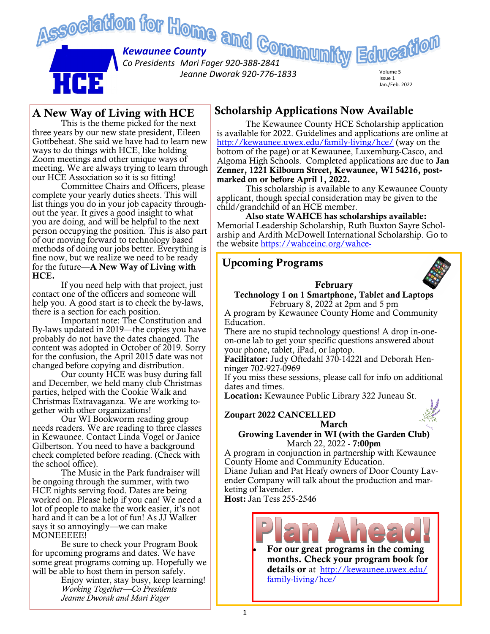

#### A New Way of Living with HCE

This is the theme picked for the next three years by our new state president, Eileen Gottbeheat. She said we have had to learn new ways to do things with HCE, like holding Zoom meetings and other unique ways of meeting. We are always trying to learn through our HCE Association so it is so fitting!

Committee Chairs and Officers, please complete your yearly duties sheets. This will list things you do in your job capacity throughout the year. It gives a good insight to what you are doing, and will be helpful to the next person occupying the position. This is also part of our moving forward to technology based methods of doing our jobs better. Everything is fine now, but we realize we need to be ready for the future—A New Way of Living with HCE.

If you need help with that project, just contact one of the officers and someone will help you. A good start is to check the by-laws, there is a section for each position.

Important note: The Constitution and By-laws updated in 2019—the copies you have probably do not have the dates changed. The content was adopted in October of 2019. Sorry for the confusion, the April 2015 date was not changed before copying and distribution.

Our county HCE was busy during fall and December, we held many club Christmas parties, helped with the Cookie Walk and Christmas Extravaganza. We are working together with other organizations!

Our WI Bookworm reading group needs readers. We are reading to three classes in Kewaunee. Contact Linda Vogel or Janice Gilbertson. You need to have a background check completed before reading. (Check with the school office).

The Music in the Park fundraiser will be ongoing through the summer, with two HCE nights serving food. Dates are being worked on. Please help if you can! We need a lot of people to make the work easier, it's not hard and it can be a lot of fun! As JJ Walker says it so annoyingly—we can make MONEEEEE!

Be sure to check your Program Book for upcoming programs and dates. We have some great programs coming up. Hopefully we will be able to host them in person safely.

Enjoy winter, stay busy, keep learning! *Working Together—Co Presidents Jeanne Dworak and Mari Fager*

## Scholarship Applications Now Available

The Kewaunee County HCE Scholarship application is available for 2022. Guidelines and applications are online at <http://kewaunee.uwex.edu/family-living/hce/> (way on the bottom of the page) or at Kewaunee, Luxemburg-Casco, and Algoma High Schools. Completed applications are due to Jan Zenner, 1221 Kilbourn Street, Kewaunee, WI 54216, postmarked on or before April 1, 2022.

This scholarship is available to any Kewaunee County applicant, though special consideration may be given to the child/grandchild of an HCE member.

Also state WAHCE has scholarships available: Memorial Leadership Scholarship, Ruth Buxton Sayre Scholarship and Ardith McDowell International Scholarship. Go to the website [https://wahceinc.org/wahce-](https://wahceinc.org/wahce-scholarships/)

#### Upcoming Programs

#### February

Technology 1 on 1 Smartphone, Tablet and Laptops February 8, 2022 at 2pm and 5 pm

A program by Kewaunee County Home and Community Education.

There are no stupid technology questions! A drop in-oneon-one lab to get your specific questions answered about your phone, tablet, iPad, or laptop.

Facilitator: Judy Oftedahl 370-1422l and Deborah Henninger 702-927-0969

If you miss these sessions, please call for info on additional dates and times.

Location: Kewaunee Public Library 322 Juneau St.



March

Growing Lavender in WI (with the Garden Club) March 22, 2022 - 7:00pm

A program in conjunction in partnership with Kewaunee County Home and Community Education.

Diane Julian and Pat Heafy owners of Door County Lavender Company will talk about the production and marketing of lavender.

Host: Jan Tess 255-2546



• For our great programs in the coming months. Check your program book for details or at [http://kewaunee.uwex.edu/](http://kewaunee.uwex.edu/family-living/hce/) [family-living/hce/](http://kewaunee.uwex.edu/family-living/hce/)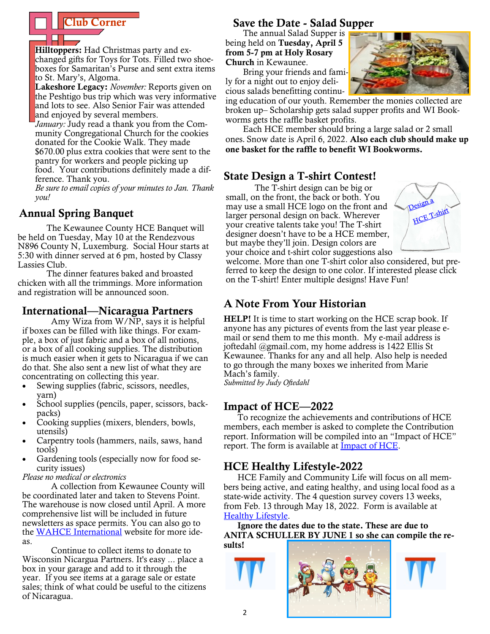Hilltoppers: Had Christmas party and exchanged gifts for Toys for Tots. Filled two shoeboxes for Samaritan's Purse and sent extra items to St. Mary's, Algoma.

Lakeshore Legacy: *November:* Reports given on the Peshtigo bus trip which was very informative and lots to see. Also Senior Fair was attended and enjoyed by several members.

*January:* Judy read a thank you from the Community Congregational Church for the cookies donated for the Cookie Walk. They made \$670.00 plus extra cookies that were sent to the pantry for workers and people picking up food. Your contributions definitely made a difference. Thank you.

*Be sure to email copies of your minutes to Jan. Thank you!*

## Annual Spring Banquet

The Kewaunee County HCE Banquet will be held on Tuesday, May 10 at the Rendezvous N896 County N, Luxemburg. Social Hour starts at 5:30 with dinner served at 6 pm, hosted by Classy Lassies Club.

The dinner features baked and broasted chicken with all the trimmings. More information and registration will be announced soon.

## International—Nicaragua Partners

Amy Wiza from W/NP, says it is helpful if boxes can be filled with like things. For example, a box of just fabric and a box of all notions, or a box of all cooking supplies. The distribution is much easier when it gets to Nicaragua if we can do that. She also sent a new list of what they are concentrating on collecting this year.

- Sewing supplies (fabric, scissors, needles, yarn)
- School supplies (pencils, paper, scissors, backpacks)
- Cooking supplies (mixers, blenders, bowls, utensils)
- Carpentry tools (hammers, nails, saws, hand tools)
- Gardening tools (especially now for food security issues)

#### *Please no medical or electronics*

A collection from Kewaunee County will be coordinated later and taken to Stevens Point. The warehouse is now closed until April. A more comprehensive list will be included in future newsletters as space permits. You can also go to the [WAHCE International](https://wahceinc.org/wahce-international-info/) website for more ideas.

Continue to collect items to donate to Wisconsin Nicargua Partners. It's easy ... place a box in your garage and add to it through the year. If you see items at a garage sale or estate sales; think of what could be useful to the citizens of Nicaragua.

## **Club Corner** Save the Date - Salad Supper

The annual Salad Supper is being held on Tuesday, April 5 from 5-7 pm at Holy Rosary Church in Kewaunee.

Bring your friends and family for a night out to enjoy delicious salads benefitting continu-

ing education of our youth. Remember the monies collected are broken up– Scholarship gets salad supper profits and WI Bookworms gets the raffle basket profits.

Each HCE member should bring a large salad or 2 small ones. Snow date is April 6, 2022. Also each club should make up one basket for the raffle to benefit WI Bookworms.

# State Design a T-shirt Contest!

The T-shirt design can be big or small, on the front, the back or both. You may use a small HCE logo on the front and larger personal design on back. Wherever your creative talents take you! The T-shirt designer doesn't have to be a HCE member, but maybe they'll join. Design colors are your choice and t-shirt color suggestions also



welcome. More than one T-shirt color also considered, but preferred to keep the design to one color. If interested please click on the T-shirt! Enter multiple designs! Have Fun!

# A Note From Your Historian

**HELP!** It is time to start working on the HCE scrap book. If anyone has any pictures of events from the last year please email or send them to me this month. My e-mail address is joftedahl @gmail.com, my home address is 1422 Ellis St Kewaunee. Thanks for any and all help. Also help is needed to go through the many boxes we inherited from Marie Mach's family.

*Submitted by Judy Oftedahl*

# Impact of HCE—2022

To recognize the achievements and contributions of HCE members, each member is asked to complete the Contribution report. Information will be compiled into an "Impact of HCE" report. The form is available at **Impact of HCE**.

# HCE Healthy Lifestyle-2022

HCE Family and Community Life will focus on all members being active, and eating healthy, and using local food as a state-wide activity. The 4 question survey covers 13 weeks, from Feb. 13 through May 18, 2022. Form is available at [Healthy Lifestyle.](https://wahceinc.org/healthy-lifestyle/)

Ignore the dates due to the state. These are due to ANITA SCHULLER BY JUNE 1 so she can compile the results!





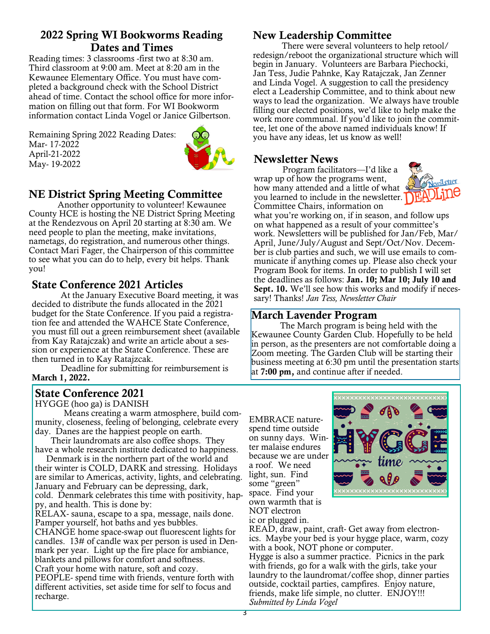## 2022 Spring WI Bookworms Reading Dates and Times

Reading times: 3 classrooms -first two at 8:30 am. Third classroom at 9:00 am. Meet at 8:20 am in the Kewaunee Elementary Office. You must have completed a background check with the School District ahead of time. Contact the school office for more information on filling out that form. For WI Bookworm information contact Linda Vogel or Janice Gilbertson.

Remaining Spring 2022 Reading Dates: Mar- 17-2022 April-21-2022 May- 19-2022



# NE District Spring Meeting Committee

Another opportunity to volunteer! Kewaunee County HCE is hosting the NE District Spring Meeting at the Rendezvous on April 20 starting at 8:30 am. We need people to plan the meeting, make invitations, nametags, do registration, and numerous other things. Contact Mari Fager, the Chairperson of this committee to see what you can do to help, every bit helps. Thank you!

# State Conference 2021 Articles

At the January Executive Board meeting, it was decided to distribute the funds allocated in the 2021 budget for the State Conference. If you paid a registration fee and attended the WAHCE State Conference, you must fill out a green reimbursement sheet (available from Kay Ratajczak) and write an article about a session or experience at the State Conference. These are then turned in to Kay Ratajzcak.

Deadline for submitting for reimbursement is March 1, 2022.

#### State Conference 2021

HYGGE (hoo ga) is DANISH

Means creating a warm atmosphere, build community, closeness, feeling of belonging, celebrate every day. Danes are the happiest people on earth.

 Their laundromats are also coffee shops. They have a whole research institute dedicated to happiness.

 Denmark is in the northern part of the world and their winter is COLD, DARK and stressing. Holidays are similar to Americas, activity, lights, and celebrating. January and February can be depressing, dark, cold. Denmark celebrates this time with positivity, happy, and health. This is done by:

RELAX- sauna, escape to a spa, message, nails done. Pamper yourself, hot baths and yes bubbles.

CHANGE home space-swap out fluorescent lights for candles. 13# of candle wax per person is used in Denmark per year. Light up the fire place for ambiance, blankets and pillows for comfort and softness. Craft your home with nature, soft and cozy.

PEOPLE- spend time with friends, venture forth with different activities, set aside time for self to focus and recharge.

# New Leadership Committee

There were several volunteers to help retool/ redesign/reboot the organizational structure which will begin in January. Volunteers are Barbara Piechocki, Jan Tess, Judie Pahnke, Kay Ratajczak, Jan Zenner and Linda Vogel. A suggestion to call the presidency elect a Leadership Committee, and to think about new ways to lead the organization. We always have trouble filling our elected positions, we'd like to help make the work more communal. If you'd like to join the committee, let one of the above named individuals know! If you have any ideas, let us know as well!

#### Newsletter News

Program facilitators—I'd like a wrap up of how the programs went, how many attended and a little of what  $\theta$ you learned to include in the newsletter. Committee Chairs, information on



what you're working on, if in season, and follow ups on what happened as a result of your committee's work. Newsletters will be published for Jan/Feb, Mar/ April, June/July/August and Sept/Oct/Nov. December is club parties and such, we will use emails to communicate if anything comes up. Please also check your Program Book for items. In order to publish I will set the deadlines as follows: Jan. 10; Mar 10; July 10 and Sept. 10. We'll see how this works and modify if necessary! Thanks! *Jan Tess, Newsletter Chair*

## March Lavender Program

The March program is being held with the Kewaunee County Garden Club. Hopefully to be held in person, as the presenters are not comfortable doing a Zoom meeting. The Garden Club will be starting their business meeting at 6:30 pm until the presentation starts at **7:00 pm,** and continue after if needed.

EMBRACE naturespend time outside on sunny days. Winter malaise endures because we are under a roof. We need light, sun. Find some "green" space. Find your own warmth that is NOT electron ic or plugged in.



READ, draw, paint, craft- Get away from electronics. Maybe your bed is your hygge place, warm, cozy with a book, NOT phone or computer. Hygge is also a summer practice. Picnics in the park with friends, go for a walk with the girls, take your laundry to the laundromat/coffee shop, dinner parties outside, cocktail parties, campfires. Enjoy nature, friends, make life simple, no clutter. ENJOY!!! *Submitted by Linda Vogel*